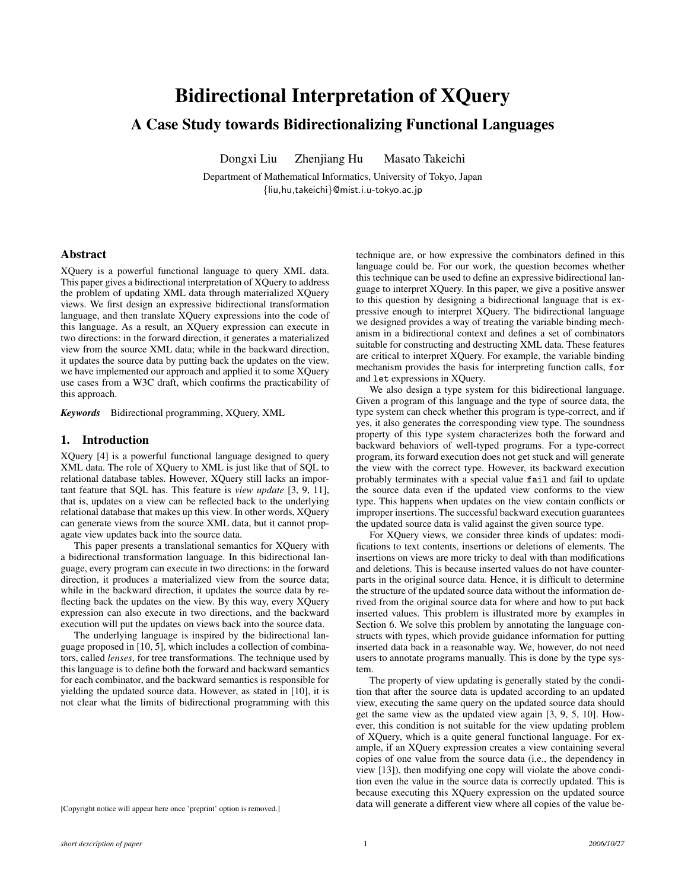# Bidirectional Interpretation of XQuery

# A Case Study towards Bidirectionalizing Functional Languages

Dongxi Liu Zhenjiang Hu Masato Takeichi

Department of Mathematical Informatics, University of Tokyo, Japan {liu,hu,takeichi}@mist.i.u-tokyo.ac.jp

### Abstract

XQuery is a powerful functional language to query XML data. This paper gives a bidirectional interpretation of XQuery to address the problem of updating XML data through materialized XQuery views. We first design an expressive bidirectional transformation language, and then translate XQuery expressions into the code of this language. As a result, an XQuery expression can execute in two directions: in the forward direction, it generates a materialized view from the source XML data; while in the backward direction, it updates the source data by putting back the updates on the view. we have implemented our approach and applied it to some XQuery use cases from a W3C draft, which confirms the practicability of this approach.

*Keywords* Bidirectional programming, XQuery, XML

# 1. Introduction

XQuery [4] is a powerful functional language designed to query XML data. The role of XQuery to XML is just like that of SQL to relational database tables. However, XQuery still lacks an important feature that SQL has. This feature is *view update* [3, 9, 11], that is, updates on a view can be reflected back to the underlying relational database that makes up this view. In other words, XQuery can generate views from the source XML data, but it cannot propagate view updates back into the source data.

This paper presents a translational semantics for XQuery with a bidirectional transformation language. In this bidirectional language, every program can execute in two directions: in the forward direction, it produces a materialized view from the source data; while in the backward direction, it updates the source data by reflecting back the updates on the view. By this way, every XQuery expression can also execute in two directions, and the backward execution will put the updates on views back into the source data.

The underlying language is inspired by the bidirectional language proposed in [10, 5], which includes a collection of combinators, called *lenses*, for tree transformations. The technique used by this language is to define both the forward and backward semantics for each combinator, and the backward semantics is responsible for yielding the updated source data. However, as stated in [10], it is not clear what the limits of bidirectional programming with this

[Copyright notice will appear here once 'preprint' option is removed.]

technique are, or how expressive the combinators defined in this language could be. For our work, the question becomes whether this technique can be used to define an expressive bidirectional language to interpret XQuery. In this paper, we give a positive answer to this question by designing a bidirectional language that is expressive enough to interpret XQuery. The bidirectional language we designed provides a way of treating the variable binding mechanism in a bidirectional context and defines a set of combinators suitable for constructing and destructing XML data. These features are critical to interpret XQuery. For example, the variable binding mechanism provides the basis for interpreting function calls, for and let expressions in XQuery.

We also design a type system for this bidirectional language. Given a program of this language and the type of source data, the type system can check whether this program is type-correct, and if yes, it also generates the corresponding view type. The soundness property of this type system characterizes both the forward and backward behaviors of well-typed programs. For a type-correct program, its forward execution does not get stuck and will generate the view with the correct type. However, its backward execution probably terminates with a special value fail and fail to update the source data even if the updated view conforms to the view type. This happens when updates on the view contain conflicts or improper insertions. The successful backward execution guarantees the updated source data is valid against the given source type.

For XQuery views, we consider three kinds of updates: modifications to text contents, insertions or deletions of elements. The insertions on views are more tricky to deal with than modifications and deletions. This is because inserted values do not have counterparts in the original source data. Hence, it is difficult to determine the structure of the updated source data without the information derived from the original source data for where and how to put back inserted values. This problem is illustrated more by examples in Section 6. We solve this problem by annotating the language constructs with types, which provide guidance information for putting inserted data back in a reasonable way. We, however, do not need users to annotate programs manually. This is done by the type system.

The property of view updating is generally stated by the condition that after the source data is updated according to an updated view, executing the same query on the updated source data should get the same view as the updated view again [3, 9, 5, 10]. However, this condition is not suitable for the view updating problem of XQuery, which is a quite general functional language. For example, if an XQuery expression creates a view containing several copies of one value from the source data (i.e., the dependency in view [13]), then modifying one copy will violate the above condition even the value in the source data is correctly updated. This is because executing this XQuery expression on the updated source data will generate a different view where all copies of the value be-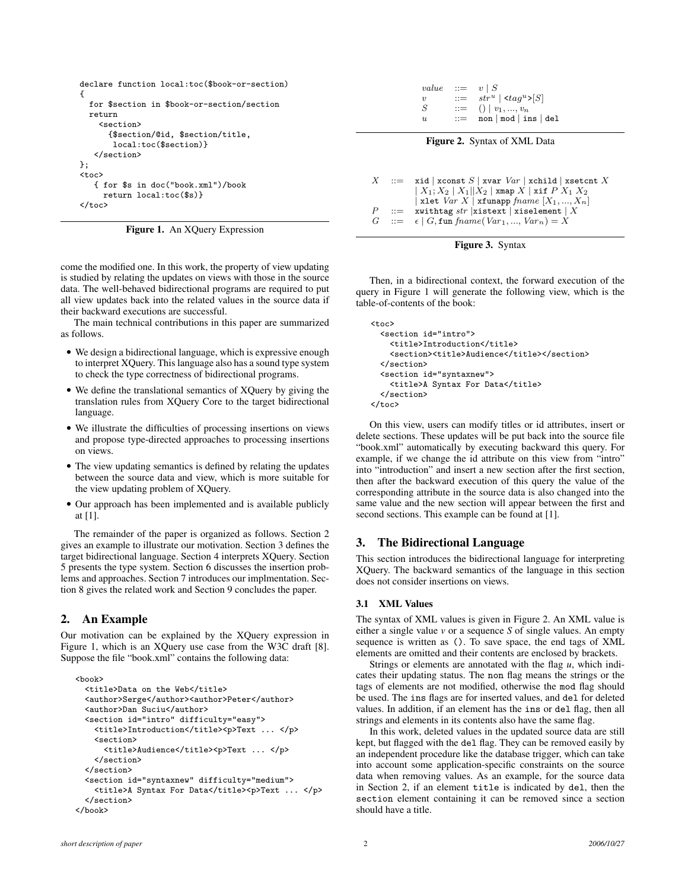```
declare function local:toc($book-or-section)
{
  for $section in $book-or-section/section
  return
    <section>
      {$section/@id, $section/title,
       local:toc($section)}
   </section>
};
<toc>
   { for $s in doc("book.xml")/book
     return local:toc($s)}
</toc>
```
Figure 1. An XQuery Expression

come the modified one. In this work, the property of view updating is studied by relating the updates on views with those in the source data. The well-behaved bidirectional programs are required to put all view updates back into the related values in the source data if their backward executions are successful.

The main technical contributions in this paper are summarized as follows.

- We design a bidirectional language, which is expressive enough to interpret XQuery. This language also has a sound type system to check the type correctness of bidirectional programs.
- We define the translational semantics of XQuery by giving the translation rules from XQuery Core to the target bidirectional language.
- We illustrate the difficulties of processing insertions on views and propose type-directed approaches to processing insertions on views.
- The view updating semantics is defined by relating the updates between the source data and view, which is more suitable for the view updating problem of XQuery.
- Our approach has been implemented and is available publicly at [1].

The remainder of the paper is organized as follows. Section 2 gives an example to illustrate our motivation. Section 3 defines the target bidirectional language. Section 4 interprets XQuery. Section 5 presents the type system. Section 6 discusses the insertion problems and approaches. Section 7 introduces our implmentation. Section 8 gives the related work and Section 9 concludes the paper.

# 2. An Example

Our motivation can be explained by the XQuery expression in Figure 1, which is an XQuery use case from the W3C draft [8]. Suppose the file "book.xml" contains the following data:

```
<book>
 <title>Data on the Web</title>
 <author>Serge</author><author>Peter</author>
 <author>Dan Suciu</author>
 <section id="intro" difficulty="easy">
   <title>Introduction</title><p>Text ... </p>
   <section>
      <title>Audience</title><p>Text ... </p>
   </section>
 </section>
 <section id="syntaxnew" difficulty="medium">
   <title>A Syntax For Data</title><p>Text ... </p>
 </section>
</book>
```

| value               | $\mathbf{r} =$        | $v \mid S$            |
|---------------------|-----------------------|-----------------------|
| $\boldsymbol{\eta}$ | $\equiv$              | $stru   < tagu> S $   |
| S                   | $\mathrel{\mathop:}=$ | $()   v_1, , v_n$     |
| $\eta_L$            | $::=$                 | non   mod   ins   del |
|                     |                       |                       |



```
X ::= xid | xconst S | xvar Var | xchild | xsetcnt X\mid X_1; X_2 \mid X_1||X_2 \mid xmap X \mid xif P X_1 X_2| xlet Var X | xfunapp fname [X_1, ..., X_n]P ::= xwithtag str |xistext | xiselement | X<br>
G ::= \epsilon | G fun fname(Var1...., Var<sub>n</sub>) = X
              \epsilon | G, fun fname(Var<sub>1</sub>, ..., Var<sub>n</sub>) = X
```


Then, in a bidirectional context, the forward execution of the query in Figure 1 will generate the following view, which is the table-of-contents of the book:

```
<toc>
  <section id="intro">
    <title>Introduction</title>
    <section><title>Audience</title></section>
  </section>
  <section id="syntaxnew">
    <title>A Syntax For Data</title>
  </section>
</toc>
```
On this view, users can modify titles or id attributes, insert or delete sections. These updates will be put back into the source file "book.xml" automatically by executing backward this query. For example, if we change the id attribute on this view from "intro" into "introduction" and insert a new section after the first section, then after the backward execution of this query the value of the corresponding attribute in the source data is also changed into the same value and the new section will appear between the first and second sections. This example can be found at [1].

# 3. The Bidirectional Language

This section introduces the bidirectional language for interpreting XQuery. The backward semantics of the language in this section does not consider insertions on views.

# 3.1 XML Values

The syntax of XML values is given in Figure 2. An XML value is either a single value *v* or a sequence *S* of single values. An empty sequence is written as (). To save space, the end tags of XML elements are omitted and their contents are enclosed by brackets.

Strings or elements are annotated with the flag *u*, which indicates their updating status. The non flag means the strings or the tags of elements are not modified, otherwise the mod flag should be used. The ins flags are for inserted values, and del for deleted values. In addition, if an element has the ins or del flag, then all strings and elements in its contents also have the same flag.

In this work, deleted values in the updated source data are still kept, but flagged with the del flag. They can be removed easily by an independent procedure like the database trigger, which can take into account some application-specific constraints on the source data when removing values. As an example, for the source data in Section 2, if an element title is indicated by del, then the section element containing it can be removed since a section should have a title.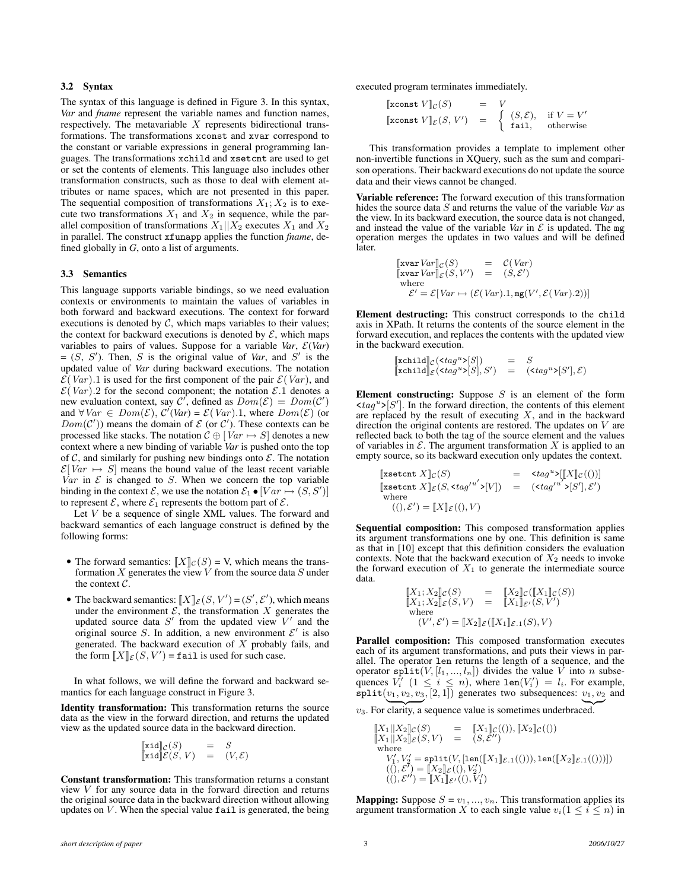#### 3.2 Syntax

The syntax of this language is defined in Figure 3. In this syntax, *Var* and *fname* represent the variable names and function names, respectively. The metavariable  $X$  represents bidirectional transformations. The transformations xconst and xvar correspond to the constant or variable expressions in general programming languages. The transformations xchild and xsetcnt are used to get or set the contents of elements. This language also includes other transformation constructs, such as those to deal with element attributes or name spaces, which are not presented in this paper. The sequential composition of transformations  $X_1; X_2$  is to execute two transformations  $X_1$  and  $X_2$  in sequence, while the parallel composition of transformations  $X_1||X_2$  executes  $X_1$  and  $X_2$ in parallel. The construct xfunapp applies the function *fname*, defined globally in *G*, onto a list of arguments.

#### 3.3 Semantics

This language supports variable bindings, so we need evaluation contexts or environments to maintain the values of variables in both forward and backward executions. The context for forward executions is denoted by  $C$ , which maps variables to their values; the context for backward executions is denoted by  $\mathcal{E}$ , which maps variables to pairs of values. Suppose for a variable *Var*,  $\mathcal{E}(Var)$  $= (S, S')$ . Then, S is the original value of *Var*, and S' is the updated value of *Var* during backward executions. The notation  $\mathcal{E}(Var)$ .1 is used for the first component of the pair  $\mathcal{E}(Var)$ , and  $\mathcal{E}(Var)$ . 2 for the second component; the notation  $\mathcal{E}.1$  denotes a new evaluation context, say  $C'$ , defined as  $Dom(\mathcal{E}) = Dom(\mathcal{C}')$ and  $\forall Var \in Dom(\mathcal{E}), C'(Var) = \mathcal{E}(Var)$ .1, where  $Dom(\mathcal{E})$  (or  $Dom(\mathcal{C}')$  means the domain of  $\mathcal E$  (or  $\mathcal C'$ ). These contexts can be processed like stacks. The notation  $C \oplus [Var \mapsto S]$  denotes a new context where a new binding of variable *Var* is pushed onto the top of  $C$ , and similarly for pushing new bindings onto  $\mathcal{E}$ . The notation  $\mathcal{E}[Var \mapsto S]$  means the bound value of the least recent variable Var in  $\mathcal E$  is changed to  $S$ . When we concern the top variable binding in the context  $\mathcal{E}$ , we use the notation  $\mathcal{E}_1 \bullet [Var \mapsto (S, S')]$ to represent  $\mathcal{E}$ , where  $\mathcal{E}_1$  represents the bottom part of  $\mathcal{E}$ .

Let  $V$  be a sequence of single XML values. The forward and backward semantics of each language construct is defined by the following forms:

- The forward semantics:  $[[X]]_C(S) = V$ , which means the transformation  $X$  generates the view  $V$  from the source data  $S$  under the context C.
- The backward semantics:  $\llbracket X \rrbracket_{\mathcal{E}}(S, V') = (S', \mathcal{E}'),$  which means under the environment  $\mathcal{E}$ , the transformation X generates the updated source data  $S'$  from the updated view  $V'$  and the original source S. In addition, a new environment  $\mathcal{E}'$  is also generated. The backward execution of  $X$  probably fails, and the form  $[[X]]_{\mathcal{E}}(S, V') = \texttt{fail}$  is used for such case.

In what follows, we will define the forward and backward semantics for each language construct in Figure 3.

Identity transformation: This transformation returns the source data as the view in the forward direction, and returns the updated view as the updated source data in the backward direction.

$$
\begin{array}{rcl}\n[\mathbf{x} \mathbf{i} \mathbf{d}]_{\mathcal{C}}(S) & = & S \\
[\mathbf{x} \mathbf{i} \mathbf{d}] \mathcal{E}(S, V) & = & (V, \mathcal{E})\n\end{array}
$$

Constant transformation: This transformation returns a constant view  $V$  for any source data in the forward direction and returns the original source data in the backward direction without allowing updates on  $V$ . When the special value  $\texttt{fail}$  is generated, the being executed program terminates immediately.

$$
\begin{array}{lll}\n\text{[xconst } V \rrbracket_{\mathcal{C}}(S) & = & V \\
\text{[xconst } V \rrbracket_{\mathcal{E}}(S, V') & = & \left\{ \begin{array}{ll} (S, \mathcal{E}), & \text{if } V = V' \\
\text{fail}, & \text{otherwise} \end{array} \right.\n\end{array}
$$

This transformation provides a template to implement other non-invertible functions in XQuery, such as the sum and comparison operations. Their backward executions do not update the source data and their views cannot be changed.

Variable reference: The forward execution of this transformation hides the source data S and returns the value of the variable *Var* as the view. In its backward execution, the source data is not changed, and instead the value of the variable *Var* in  $\mathcal E$  is updated. The mg operation merges the updates in two values and will be defined later.

$$
\begin{array}{rcl}\n[\text{xvar} \, Var]_{\mathcal{C}}(S) & = & \mathcal{C}(Var) \\
[\text{xvar} \, Var]_{\mathcal{E}}(S, V') & = & (S, \mathcal{E}') \\
\text{where} \\
\mathcal{E}' = \mathcal{E}[\,Var \mapsto (\mathcal{E}(\,Var).1, \text{mg}(V', \mathcal{E}(\,Var).2))]\n\end{array}
$$

Element destructing: This construct corresponds to the child axis in XPath. It returns the contents of the source element in the forward execution, and replaces the contents with the updated view in the backward execution.

$$
\begin{array}{lll}\n[\text{xchild}]_{\mathcal{C}}(\text{xtag}^{u} \times [S]) & = & S \\
[\text{xchild}]_{\mathcal{E}}(\text{xtag}^{u} \times [S], S') & = & (\text{xtag}^{u} \times [S'], \mathcal{E})\n\end{array}
$$

Element constructing: Suppose  $S$  is an element of the form  $\langle tag^u \rangle [S']$ . In the forward direction, the contents of this element are replaced by the result of executing  $X$ , and in the backward direction the original contents are restored. The updates on  $V$  are reflected back to both the tag of the source element and the values of variables in  $\mathcal E$ . The argument transformation X is applied to an empty source, so its backward execution only updates the context.

$$
\begin{array}{llll} \text{[xsetcnt $X$]}_{\mathcal{C}}(S) & = & \text{$\varepsilon$}_{\mathit{tag}}{}^{u\text{-}}\text{[}X \text{]}_{\mathcal{C}}((\text{)}\text{]}\text{[xsetcnt $X$]}_{\mathcal{E}}(S, \text{$\varepsilon$}_{\mathit{tag}}{}^{u\text{'}}\text{${\varepsilon}$}_{\text{]}}] & = & \text{(\varepsilon$}_{\mathit{tag}}{}^{u\text{'}}\text{${\varepsilon}$}_{\text{]}S';\mathcal{E}'\text{)}\\ \text{where}\\ & ((),\mathcal{E}') = [\![X]\!]_{\mathcal{E}}((\text{)},V) & \end{array}
$$

Sequential composition: This composed transformation applies its argument transformations one by one. This definition is same as that in [10] except that this definition considers the evaluation contexts. Note that the backward execution of  $X_2$  needs to invoke the forward execution of  $X_1$  to generate the intermediate source data.

$$
\begin{array}{rcl}\n[X_1; X_2]_{\mathcal{C}}(S) & = & [X_2]_{\mathcal{C}}([X_1]_{\mathcal{C}}(S)) \\
[X_1; X_2]_{\mathcal{E}}(S, V) & = & [X_1]_{\mathcal{E}'}(S, V') \\
\text{where} \\
(V', \mathcal{E}') = [X_2]_{\mathcal{E}}([X_1]_{\mathcal{E}, 1}(S), V)\n\end{array}
$$

Parallel composition: This composed transformation executes each of its argument transformations, and puts their views in parallel. The operator len returns the length of a sequence, and the operator split $(V, [l_1, ..., l_n])$  divides the value  $\overline{V}$  into n subsequences  $V_i'$   $(1 \leq i \leq n)$ , where  $len(V_i') = l_i$ . For example,  $split(v_1, v_2, v_3, [2, 1])$  generates two subsequences:  $v_1, v_2$  and

 $v_3$ . For clarity, a sequence value is sometimes underbraced.

$$
\begin{array}{lll} [\![X_1]\!|\!|X_2]\!]_{{\mathcal{C}}}(S) & = & [\![X_1]\!]_{{\mathcal{C}}}((), [\![X_2]\!]_{{\mathcal{C}}}(()) \\ \hline [\![X_1]\!|\!|X_2]\!]_{{\mathcal{E}}}(S,V) & = & (S, {\mathcal{E}}'') \\ \hline \text{where} \\ & V_1', V_2' = \text{split}(V, [\![\text{len}([\![X_1]\!]_{{\mathcal{E}},1}(())), \text{len}([\![X_2]\!]_{{\mathcal{E}},1}(()))]) \\ & ((), {\mathcal{E}}') = [\![X_2]\!]_{{\mathcal{E}}'}((), V_2') \\ & ((), {\mathcal{E}}'') = [\![X_1]\!]_{{\mathcal{E}}'}((), V_1') \end{array}
$$

**Mapping:** Suppose  $S = v_1, ..., v_n$ . This transformation applies its argument transformation X to each single value  $v_i(1 \leq i \leq n)$  in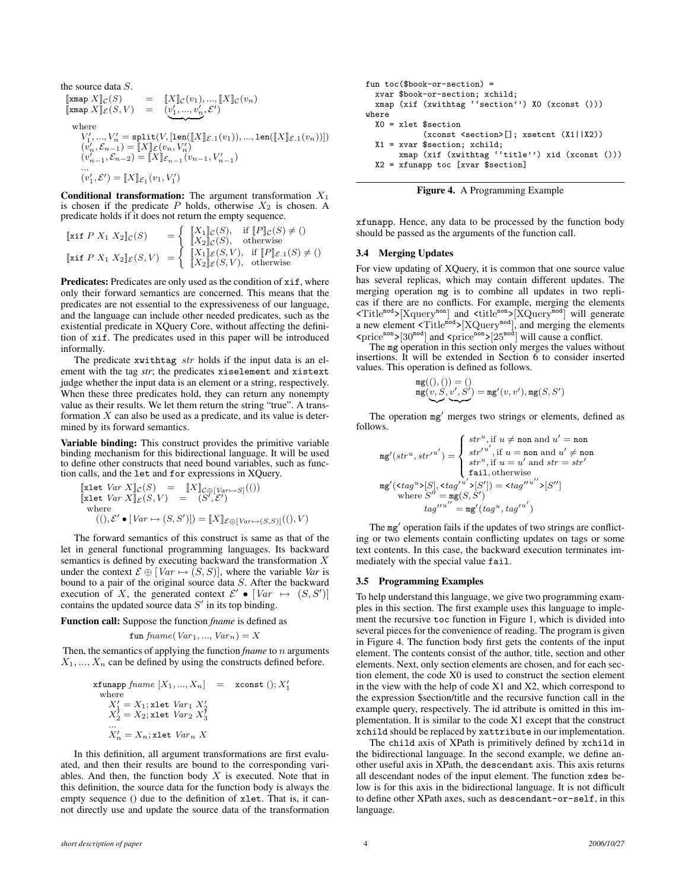the source data *S*.  
\n
$$
\begin{array}{ll}\n[\text{xmap } X]_{\mathcal{C}}(S) & = & [X]_{\mathcal{C}}(v_1), ..., [X]_{\mathcal{C}}(v_n) \\
[\text{xmap } X]_{\mathcal{E}}(S, V) & = & (v'_1, ..., v'_n, \mathcal{E}') \\
\text{where} \\
V'_1, ..., V'_n = \text{split}(V, [\text{len}([X]_{\mathcal{E}.1}(v_1)), ..., \text{len}([X]_{\mathcal{E}.1}(v_n))]) \\
(v'_n, \mathcal{E}_{n-1}) = [X]_{\mathcal{E}}(v_n, V'_n) \\
(v'_{n-1}, \mathcal{E}_{n-2}) = [X]_{\mathcal{E}_{n-1}}(v_{n-1}, V'_{n-1}) \\
&\cdots \\
(v'_1, \mathcal{E}') = [X]_{\mathcal{E}_1}(v_1, V'_1)\n\end{array}
$$

**Conditional transformation:** The argument transformation  $X_1$ is chosen if the predicate P holds, otherwise  $X_2$  is chosen. A predicate holds if it does not return the empty sequence.

$$
\begin{array}{ll}\n[\n\text{xif } P \ X_1 \ X_2]_{\mathcal{C}}(S) & = \left\{ \begin{array}{ll}\n[X_1]_{\mathcal{C}}(S), & \text{if } [P]_{\mathcal{C}}(S) \neq 0 \\
[X_2]_{\mathcal{C}}(S), & \text{otherwise}\n\end{array} \right. \\
[\n\text{xif } P \ X_1 \ X_2]_{\mathcal{E}}(S, V) & = \left\{ \begin{array}{ll}\n[X_1]_{\mathcal{E}}(S, V), & \text{if } [P]_{\mathcal{E}.1}(S) \neq 0 \\
[X_2]_{\mathcal{E}}(S, V), & \text{otherwise}\n\end{array} \right.\n\end{array}
$$

Predicates: Predicates are only used as the condition of  $x$ if, where only their forward semantics are concerned. This means that the predicates are not essential to the expressiveness of our language, and the language can include other needed predicates, such as the existential predicate in XQuery Core, without affecting the definition of xif. The predicates used in this paper will be introduced informally.

The predicate  $x$ withtag  $str$  holds if the input data is an element with the tag *str*; the predicates xiselement and xistext judge whether the input data is an element or a string, respectively. When these three predicates hold, they can return any nonempty value as their results. We let them return the string "true". A transformation  $X$  can also be used as a predicate, and its value is determined by its forward semantics.

Variable binding: This construct provides the primitive variable binding mechanism for this bidirectional language. It will be used to define other constructs that need bound variables, such as function calls, and the let and for expressions in XQuery.

$$
\begin{array}{ll}\n[\text{xlet } \text{Var } X]_{\mathcal{C}}(S) &= \left[ X \right]_{\mathcal{C} \oplus \left[ \text{Var} \mapsto S \right]}((1)) \\
[\text{xlet } \text{Var } X]_{\mathcal{E}}(S, V) &= \left( S', \mathcal{E}' \right) \\
\text{where} \\
&= \left( ( \cdot ), \mathcal{E}' \bullet \left[ \text{Var} \mapsto (S, S') \right] \right) = \left[ X \right]_{\mathcal{E} \oplus \left[ \text{Var} \mapsto (S, S) \right]}((1), V)\n\end{array}
$$

The forward semantics of this construct is same as that of the let in general functional programming languages. Its backward semantics is defined by executing backward the transformation X under the context  $\mathcal{E} \oplus [Var \mapsto (S, S)]$ , where the variable *Var* is bound to a pair of the original source data S. After the backward execution of X, the generated context  $\mathcal{E}' \bullet [Var \mapsto (S, S')]$ contains the updated source data  $S'$  in its top binding.

Function call: Suppose the function *fname* is defined as

$$
fun\,frame(Var_1, ..., Var_n) = X
$$

Then, the semantics of applying the function *fname* to n arguments  $X_1, \ldots, X_n$  can be defined by using the constructs defined before.

$$
\begin{array}{ll}\n\texttt{xfunapp \, } \textit{frame} \,\left[X_1, \ldots, X_n\right] & = & \texttt{xconst} \,\left( \right); X_1' \\
\text{where} \\
X_1' = X_1; \texttt{xlet \, } \textit{Var}_1 \,\, X_2' \\
X_2' = X_2; \texttt{xlet \, } \textit{Var}_2 \,\, X_3' \\
\dots \\
X_n' = X_n; \texttt{xlet \, } \textit{Var}_n \,\, X\n\end{array}
$$

In this definition, all argument transformations are first evaluated, and then their results are bound to the corresponding variables. And then, the function body  $X$  is executed. Note that in this definition, the source data for the function body is always the empty sequence () due to the definition of xlet. That is, it cannot directly use and update the source data of the transformation

```
fun \text{toc}(\text{shook-or-section}) =
  xvar $book-or-section; xchild;
  xmap (xif (xwithtag ''section'') X0 (xconst ()))
where
  X0 = xlet $section
             (xconst <section>[]; xsetcnt (X1||X2))
  X1 = xvar $section; xchild;
       xmap (xif (xwithtag ''title'') xid (xconst ()))
  X2 = xfunapp toc [xvar $section]
```


xfunapp. Hence, any data to be processed by the function body should be passed as the arguments of the function call.

#### 3.4 Merging Updates

For view updating of XQuery, it is common that one source value has several replicas, which may contain different updates. The merging operation mg is to combine all updates in two replicas if there are no conflicts. For example, merging the elements  $\text{STitle}^{\text{mod}}$ >[Xquery<sup>non</sup>] and  $\text{stitle}^{\text{non}}$ >[XQuery<sup>mod</sup>] will generate a new element  $\text{STitle}^{\text{mod}}$ >[XQuery<sup>mod</sup>], and merging the elements  $\langle$ price<sup>non</sup>>[30<sup>mod</sup>] and  $\langle$ price<sup>non</sup>>[25<sup>mod</sup>] will cause a conflict.

The mg operation in this section only merges the values without insertions. It will be extended in Section  $\tilde{6}$  to consider inserted values. This operation is defined as follows.

$$
\mathop{\rm mg}\nolimits\bigl((), ()\bigr) = () \\\mathop{\rm mg}\nolimits\bigl(v, S, v', S'\bigr) = \mathop{\rm mg}\nolimits'(v, v'), \mathop{\rm mg}\nolimits(S, S')
$$

The operation mg' merges two strings or elements, defined as follows.

$$
\mathbf{m} \mathbf{g}'(str^u, str'^{u'}) = \begin{cases} str^u, \text{if } u \neq \text{non and } u' = \text{non} \\ str'^{u'}, \text{if } u = \text{non and } u' \neq \text{non} \\ str^u, \text{if } u = u' \text{ and } str = str' \\ \text{fail, otherwise} \end{cases}
$$

$$
\mathbf{m} \mathbf{g}'(\langle tag^u \rangle [S], \langle tag'^{u'} \rangle [S']) = \langle tag'^{u''} \rangle [S'']
$$

$$
\text{where } S'' = \mathbf{m} \mathbf{g}(S, S')
$$

$$
tag'^{u''} = \mathbf{m} \mathbf{g}'(tag^u, tag'^{u'})
$$

The mg' operation fails if the updates of two strings are conflicting or two elements contain conflicting updates on tags or some text contents. In this case, the backward execution terminates immediately with the special value fail.

#### 3.5 Programming Examples

To help understand this language, we give two programming examples in this section. The first example uses this language to implement the recursive toc function in Figure 1, which is divided into several pieces for the convenience of reading. The program is given in Figure 4. The function body first gets the contents of the input element. The contents consist of the author, title, section and other elements. Next, only section elements are chosen, and for each section element, the code X0 is used to construct the section element in the view with the help of code X1 and X2, which correspond to the expression \$section/title and the recursive function call in the example query, respectively. The id attribute is omitted in this implementation. It is similar to the code X1 except that the construct xchild should be replaced by xattribute in our implementation.

The child axis of XPath is primitively defined by xchild in the bidirectional language. In the second example, we define another useful axis in XPath, the descendant axis. This axis returns all descendant nodes of the input element. The function xdes below is for this axis in the bidirectional language. It is not difficult to define other XPath axes, such as descendant-or-self, in this language.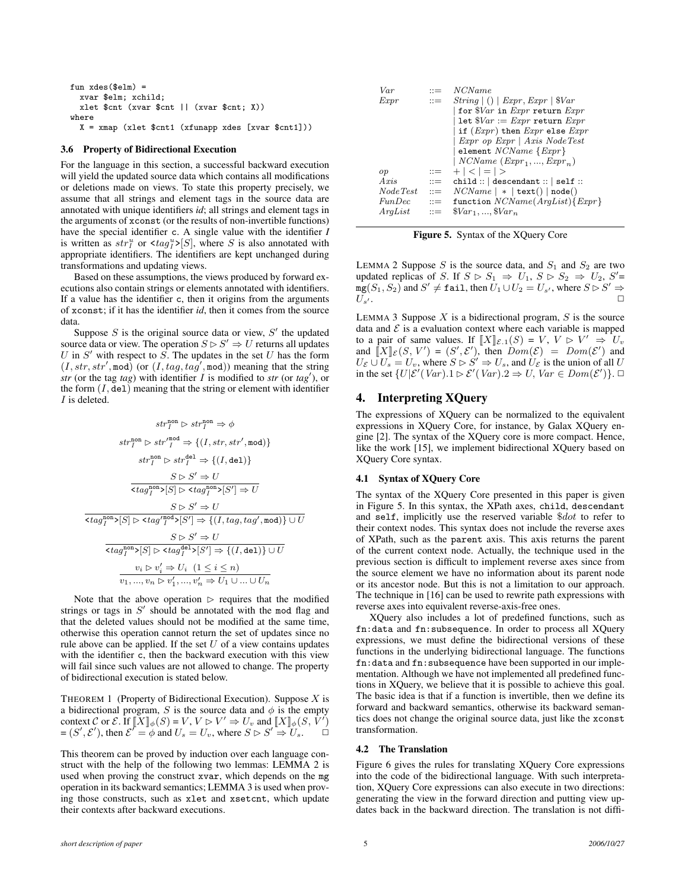```
fun xdes($elm) =
  xvar $elm; xchild;
  xlet $cnt (xvar $cnt || (xvar $cnt; X))
where
 X = xmap (xlet $cnt1 (xfunapp xdes [xvar $cnt1]))
```
#### 3.6 Property of Bidirectional Execution

For the language in this section, a successful backward execution will yield the updated source data which contains all modifications or deletions made on views. To state this property precisely, we assume that all strings and element tags in the source data are annotated with unique identifiers *id*; all strings and element tags in the arguments of xconst (or the results of non-invertible functions) have the special identifier c. A single value with the identifier *I* is written as  $str_I^u$  or  $\langle tag_I^u \rangle [S]$ , where S is also annotated with appropriate identifiers. The identifiers are kept unchanged during transformations and updating views.

Based on these assumptions, the views produced by forward executions also contain strings or elements annotated with identifiers. If a value has the identifier c, then it origins from the arguments of xconst; if it has the identifier *id*, then it comes from the source data.

Suppose  $S$  is the original source data or view,  $S'$  the updated source data or view. The operation  $S \triangleright S' \Rightarrow U$  returns all updates U in  $S'$  with respect to  $S$ . The updates in the set U has the form  $(I, str, str', \text{mod})$  (or  $(I, tag, tag', \text{mod})$ ) meaning that the string  $str$  (or the tag *tag*) with identifier  $I$  is modified to  $str$  (or  $tag'$ ), or the form  $(I, \text{del})$  meaning that the string or element with identifier I is deleted.

$$
str_I^{\text{non}} \rhd str_I^{\text{non}} \Rightarrow \phi
$$
\n
$$
str_I^{\text{non}} \rhd str_I^{\text{non}} \Rightarrow \{ (I, str, str', \text{mod}) \}
$$
\n
$$
str_I^{\text{non}} \rhd str_I^{\text{den}} \Rightarrow \{ (I, \text{del}) \}
$$
\n
$$
S \rhd S' \Rightarrow U
$$
\n
$$
\frac{S \rhd S' \Rightarrow U}{\langle tag_I^{\text{non}} \rhd [S] \rhd \langle tag_I^{\text{non}} \rhd [S'] \Rightarrow U}
$$
\n
$$
\frac{S \rhd S' \Rightarrow U}{\langle tag_I^{\text{non}} \rhd [S] \rhd \langle tag_I^{\text{non}} \rhd [S'] \Rightarrow \{ (I, tag, tag', \text{mod}) \} \cup U}
$$
\n
$$
S \rhd S' \Rightarrow U
$$
\n
$$
\frac{S \rhd S' \Rightarrow U}{\langle tag_I^{\text{non}} \rhd [S] \rhd \langle tag_I^{\text{del}} \rhd [S'] \Rightarrow \{ (I, \text{del}) \} \cup U}
$$
\n
$$
v_i \rhd v_i' \Rightarrow U_i \quad (1 \le i \le n)
$$
\n
$$
v_1, ..., v_n \rhd v_1', ..., v_n' \Rightarrow U_1 \cup ... \cup U_n
$$

Note that the above operation  $\triangleright$  requires that the modified strings or tags in  $S'$  should be annotated with the mod flag and that the deleted values should not be modified at the same time, otherwise this operation cannot return the set of updates since no rule above can be applied. If the set  $U$  of a view contains updates with the identifier c, then the backward execution with this view will fail since such values are not allowed to change. The property of bidirectional execution is stated below.

THEOREM 1 (Property of Bidirectional Execution). Suppose  $X$  is a bidirectional program, S is the source data and  $\phi$  is the empty context C or E. If  $\Vert \overline{X} \Vert_{\phi}(S) = V$ ,  $V \triangleright V' \Rightarrow U_v$  and  $\Vert X \Vert_{\phi}(S, \tilde{V}')$  $=(S', \mathcal{E}'),$  then  $\mathcal{E}' = \phi$  and  $U_s = U_v$ , where  $S \triangleright S' \Rightarrow U_s$ .  $\Box$ 

This theorem can be proved by induction over each language construct with the help of the following two lemmas: LEMMA 2 is used when proving the construct xvar, which depends on the mg operation in its backward semantics; LEMMA 3 is used when proving those constructs, such as xlet and xsetcnt, which update their contexts after backward executions.

| Var      | $\mathbf{m}$              | <i>NCName</i>                                                  |
|----------|---------------------------|----------------------------------------------------------------|
| Expr     | $\mathbf{H} = \mathbf{H}$ | String   ()   Expr, Expr   \$Var                               |
|          |                           | for $\sqrt[6]{a}$ in <i>Expr</i> return <i>Expr</i>            |
|          |                           | let $\sqrt[6]{ar} := Expr$ return $Expr$                       |
|          |                           | if $(Expr)$ then $Expr$ else $Expr$                            |
|          |                           | Expr op Expr   Axis NodeTest                                   |
|          |                           | element $NCName$ { $Expr$ }                                    |
|          |                           | $\mid NCName\ (Expr_1, , Expr_n)$                              |
| op       | $\mathrel{\mathop:}=$     | $+ <   =   >$                                                  |
| Axis     | $\mathbf{m}$              | $child:: $ descendant ::   self ::                             |
| NodeTest |                           | $\therefore$ $NCName \mid *   \text{text}(x)   \text{node}(x)$ |
| FunDec   | $\mathbf{r} =$            | function $NCName(Arglist){Expr}$                               |
| Arqlist  | $\mathbf{r} =$            | $\sqrt{8Var_1, , \sqrt{8Var_n}}$                               |

Figure 5. Syntax of the XQuery Core

LEMMA 2 Suppose  $S$  is the source data, and  $S_1$  and  $S_2$  are two updated replicas of S. If  $S \rhd S_1 \Rightarrow U_1, S \rhd S_2 \Rightarrow U_2, S' =$  $\bar{\texttt{mg}}(S_1, S_2)$  and  $S' \neq \texttt{fail}$ , then  $U_1 \cup U_2 = U_{s'}$ , where  $S \triangleright S' \Rightarrow$  $U_{s'}$ .

LEMMA 3 Suppose  $X$  is a bidirectional program,  $S$  is the source data and  $\mathcal E$  is a evaluation context where each variable is mapped to a pair of same values. If  $[X]_{\mathcal{E},1}(S) = V$ ,  $V \triangleright V' \Rightarrow U_v$ and  $\llbracket X \rrbracket_{\mathcal{E}}(S, V') = (S', \mathcal{E}'),$  then  $Dom(\mathcal{E}) = Dom(\mathcal{E}')$  and  $U_{\mathcal{E}} \cup U_s = U_v$ , where  $S \triangleright S' \Rightarrow U_s$ , and  $U_{\mathcal{E}}$  is the union of all U in the set  $\{U|\mathcal{E}'(Var).1 \triangleright \mathcal{E}'(Var).2 \Rightarrow U, Var \in Dom(\mathcal{E}')\}$ .

# 4. Interpreting XQuery

The expressions of XQuery can be normalized to the equivalent expressions in XQuery Core, for instance, by Galax XQuery engine [2]. The syntax of the XQuery core is more compact. Hence, like the work [15], we implement bidirectional XQuery based on XQuery Core syntax.

#### 4.1 Syntax of XQuery Core

The syntax of the XQuery Core presented in this paper is given in Figure 5. In this syntax, the XPath axes, child, descendant and self, implicitly use the reserved variable \$dot to refer to their context nodes. This syntax does not include the reverse axes of XPath, such as the parent axis. This axis returns the parent of the current context node. Actually, the technique used in the previous section is difficult to implement reverse axes since from the source element we have no information about its parent node or its ancestor node. But this is not a limitation to our approach. The technique in [16] can be used to rewrite path expressions with reverse axes into equivalent reverse-axis-free ones.

XQuery also includes a lot of predefined functions, such as fn:data and fn:subsequence. In order to process all XQuery expressions, we must define the bidirectional versions of these functions in the underlying bidirectional language. The functions fn:data and fn:subsequence have been supported in our implementation. Although we have not implemented all predefined functions in XQuery, we believe that it is possible to achieve this goal. The basic idea is that if a function is invertible, then we define its forward and backward semantics, otherwise its backward semantics does not change the original source data, just like the xconst transformation.

#### 4.2 The Translation

Figure 6 gives the rules for translating XQuery Core expressions into the code of the bidirectional language. With such interpretation, XQuery Core expressions can also execute in two directions: generating the view in the forward direction and putting view updates back in the backward direction. The translation is not diffi-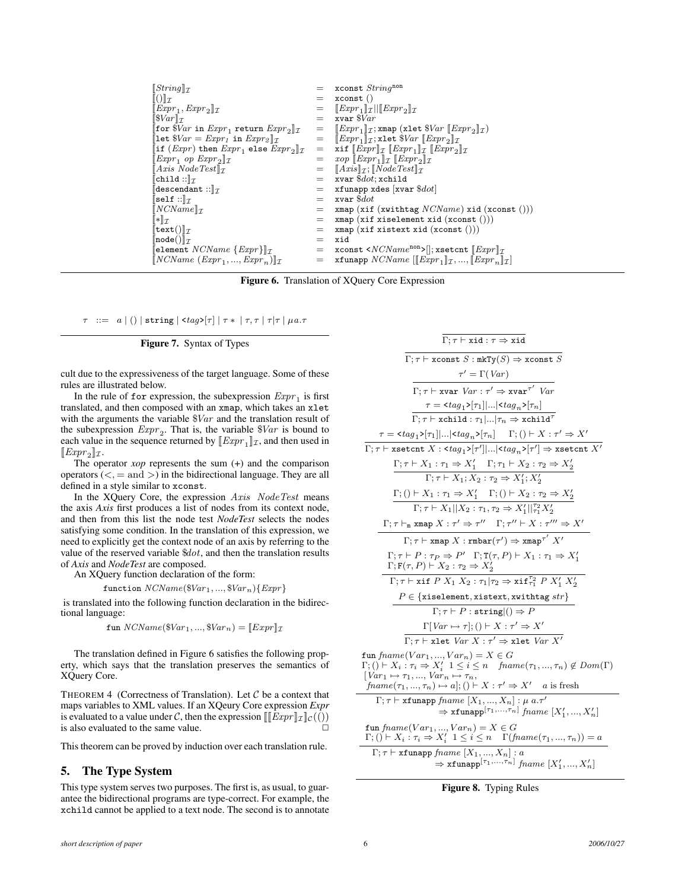| $\Vert String \Vert_{\mathcal{T}}$                                                      |     | $=$ xconst String <sup>non</sup>                                                                                                 |
|-----------------------------------------------------------------------------------------|-----|----------------------------------------------------------------------------------------------------------------------------------|
| $\ () \ _{\mathcal{I}}$                                                                 | $=$ | $x$ const $()$                                                                                                                   |
| $\Vert Expr_1, Expr_2 \Vert_{\mathcal{I}}$                                              | $=$ | $\ Expr_1\ _{\mathcal{I}}\  \leq Expr_2\ _{\mathcal{I}}$                                                                         |
| $\left[\frac{\delta Var}{\tau}\right]$                                                  | $=$ | $xvar$ $\sqrt{3}Var$                                                                                                             |
| for $Nar$ in $Expr_1$ return $Expr_2 _T$                                                | $=$ | $  Expr_1  _{\mathcal{T}}$ ; xmap (xlet $SVar   Expr_2  _{\mathcal{T}}$ )                                                        |
| $\lbrack\!\lbrack \texttt{let } $Var = Expr_1$ in Expr_2\rbrack\!\rbrack_{\mathcal{T}}$ | $=$ | $\ Expr_1\ _{\mathcal{T}}$ ; xlet $War$ $\llbracket Expr_2\rrbracket_{\mathcal{T}}$                                              |
| if $(Expr)$ then $Expr_1$ else $Expr_2  _T$                                             | $=$ | xif $\llbracket \text{Expr} \rrbracket$ $\llbracket \text{Expr}_1 \rrbracket$ $\llbracket \text{Expr}_2 \rrbracket$ $\llbracket$ |
| $\Vert Expr_1 op Expr_2 \Vert_T$                                                        | $=$ | $\chi$ op $\llbracket \text{Expr}_1 \rrbracket$ $\llbracket \text{Expr}_2 \rrbracket$ $\llbracket \text{Expr}_2 \rrbracket$      |
| $\llbracket Axis\ NodeTest \rrbracket_{\mathcal{T}}$                                    | $=$ | $\llbracket Axis \rrbracket$ $\mathcal{T}$ ; $\llbracket NodeTest \rrbracket$ $\mathcal{T}$                                      |
| $\ $ child :: $\ $ $\tau$                                                               | $=$ | xvar $\$dot;$ xchild                                                                                                             |
| descendant :: $\Vert \tau$                                                              | $=$ | xfunapp xdes  xvar $\$dot $                                                                                                      |
| $\ $ self :: $\ _{\mathcal{T}}$                                                         | $=$ | xvar \$ <i>dot</i>                                                                                                               |
| $[NCName]_{\mathcal{T}}$                                                                | $=$ | xmap (xif (xwithtag $NCName$ ) xid (xconst ()))                                                                                  |
| $\ \ast\ _{\mathcal{I}}$                                                                | $=$ | xmap(xif xiselement xid(xconst)))                                                                                                |
| $\ \texttt{text}(\pi)\ _{\mathcal{I}}$                                                  | $=$ | xmap(xif xistext xid(xconst)))                                                                                                   |
| $\Vert$ node $(\cdot)\Vert_{\mathcal{T}}$                                               | $=$ | xid                                                                                                                              |
| $\lbrack \text{element } NCName \ \{Expr\} \rbrack \!\rbrack_{\mathcal{I}}$             | $=$ | xconst < $NCName^{\text{non}}$ ) ; xsetcnt $[Expr]_{\mathcal{I}}$                                                                |
| $\ NCName\ (Expr_1, , Expr_n)\ _{\mathcal{T}}$                                          | =   | xfunapp $NCName$ $[[Expr_1]\tau, , [Expr_n]\tau]$                                                                                |
|                                                                                         |     |                                                                                                                                  |

Figure 6. Translation of XQuery Core Expression

 $\tau$  ::= a | () | string | <tag> $\tau$ |  $|\tau * | \tau, \tau | \tau | \mu a.\tau$ 

# Figure 7. Syntax of Types

cult due to the expressiveness of the target language. Some of these rules are illustrated below.

In the rule of for expression, the subexpression  $\mathit{Expr}_1$  is first translated, and then composed with an xmap, which takes an xlet with the arguments the variable  $\sqrt[8]{ar}$  and the translation result of the subexpression  $Expr_2$ . That is, the variable  $\frac{8}{2}$  is bound to each value in the sequence returned by  $[\![\text{Expr}_1]\!]_{\mathcal{I}}$ , and then used in  $[\![\mathit{Expr}_2]\!]$   $\mathcal{I}$ .

The operator *xop* represents the sum (+) and the comparison operators  $(<, =$  and  $>)$  in the bidirectional language. They are all defined in a style similar to xconst.

In the XQuery Core, the expression Axis NodeTest means the axis *Axis* first produces a list of nodes from its context node, and then from this list the node test *NodeTest* selects the nodes satisfying some condition. In the translation of this expression, we need to explicitly get the context node of an axis by referring to the value of the reserved variable \$dot, and then the translation results of *Axis* and *NodeTest* are composed.

An XQuery function declaration of the form:

function  $NCName(\$Var_1, ..., \$Var_n){\}Expr{\}$ 

is translated into the following function declaration in the bidirectional language:

fun  $NCName(\$Var_1, ..., \$Var_n) = [Expr]]_{\mathcal{I}}$ 

The translation defined in Figure 6 satisfies the following property, which says that the translation preserves the semantics of XQuery Core.

THEOREM 4 (Correctness of Translation). Let  $C$  be a context that maps variables to XML values. If an XQeury Core expression *Expr* is evaluated to a value under C, then the expression  $\llbracket [Expr]_{\mathcal{I}}(f())$ is also evaluated to the same value.

This theorem can be proved by induction over each translation rule.

# 5. The Type System

This type system serves two purposes. The first is, as usual, to guarantee the bidirectional programs are type-correct. For example, the xchild cannot be applied to a text node. The second is to annotate

 $\overline{\Gamma:\tau \vdash \texttt{xid} : \tau \Rightarrow \texttt{xid}}$  $\Gamma; \tau \vdash \texttt{xconst} \; S : \texttt{mkTy}(S) \Rightarrow \texttt{xconst} \; S$ 

$$
\tau' = \Gamma(Var)
$$
\n
$$
\Gamma; \tau \vdash xvar \ Var : \tau' \Rightarrow xvar^{\tau'} \ Var
$$
\n
$$
\tau = \frac{\tau \tau}{\Gamma; \tau \vdash x} \frac{\tau}{\Gamma; \tau \vdash x} \frac{\tau}{\Gamma; \tau \vdash x} \frac{\tau}{\Gamma; \tau \vdash x} \frac{\tau}{\Gamma; \tau \vdash x} \frac{\tau}{\Gamma; \tau \vdash x} \frac{\tau}{\Gamma; \tau \vdash x} \frac{\tau}{\Gamma; \tau \vdash x} \frac{\tau}{\Gamma; \tau \vdash x} \frac{\tau}{\Gamma; \tau \vdash x} \frac{\tau}{\Gamma; \tau \vdash x} \frac{\tau}{\Gamma; \tau \vdash x} \frac{\tau}{\Gamma; \tau \vdash x} \frac{\tau}{\Gamma; \tau \vdash x} \frac{\tau}{\Gamma; \tau \vdash x} \frac{\tau}{\Gamma; \tau \vdash x} \frac{\tau}{\Gamma; \tau \vdash x} \frac{\tau}{\Gamma; \tau \vdash x} \frac{\tau}{\Gamma; \tau \vdash x} \frac{\tau}{\Gamma; \tau \vdash x} \frac{\tau}{\Gamma; \tau \vdash x} \frac{\tau}{\Gamma; \tau \vdash x} \frac{\tau}{\Gamma; \tau \vdash x} \frac{\tau}{\Gamma; \tau \vdash x} \frac{\tau}{\Gamma; \tau \vdash x} \frac{\tau}{\Gamma; \tau \vdash x} \frac{\tau}{\Gamma; \tau \vdash x} \frac{\tau}{\Gamma; \tau \vdash x} \frac{\tau}{\Gamma; \tau \vdash x} \frac{\tau}{\Gamma; \tau \vdash x} \frac{\tau}{\Gamma; \tau \vdash x} \frac{\tau}{\Gamma; \tau \vdash x} \frac{\tau}{\Gamma; \tau \vdash x} \frac{\tau}{\Gamma; \tau \vdash x} \frac{\tau}{\Gamma; \tau \vdash x} \frac{\tau}{\Gamma; \tau \vdash x} \frac{\tau}{\Gamma; \tau \vdash x} \frac{\tau}{\Gamma; \tau \vdash x} \frac{\tau}{\Gamma; \tau \vdash x} \frac{\tau}{\Gamma; \tau \vdash x} \frac{\tau}{\Gamma; \tau \vdash x} \frac{\tau}{\Gamma; \tau \vdash x} \frac{\tau}{\Gamma; \tau \vdash x} \frac{\tau}{\Gamma; \tau \vdash x} \frac{\tau}{\Gamma; \tau \vdash x} \frac{\tau}{\Gamma; \tau \vdash x} \frac{\tau}{\Gamma; \tau \vdash
$$

$$
\Rightarrow \operatorname{xfunapp}^{[\tau_1, \ldots, \tau_n]} \operatorname{frame} [X'_1, \ldots, X'_n]
$$
\n
$$
\operatorname{fun} \operatorname{frame} (Var_1, \ldots, Var_n) = X \in G
$$
\n
$$
\Gamma; () \vdash X_i : \tau_i \Rightarrow X'_i \quad 1 \leq i \leq n \quad \Gamma(\operatorname{frame}(\tau_1, \ldots, \tau_n)) = a
$$
\n
$$
\Gamma; \tau \vdash \operatorname{xfunapp} \operatorname{frame} [X_1, \ldots, X_n] : a
$$
\n
$$
\Rightarrow \operatorname{xfunapp}^{[\tau_1, \ldots, \tau_n]} \operatorname{frame} [X'_1, \ldots, X'_n]
$$

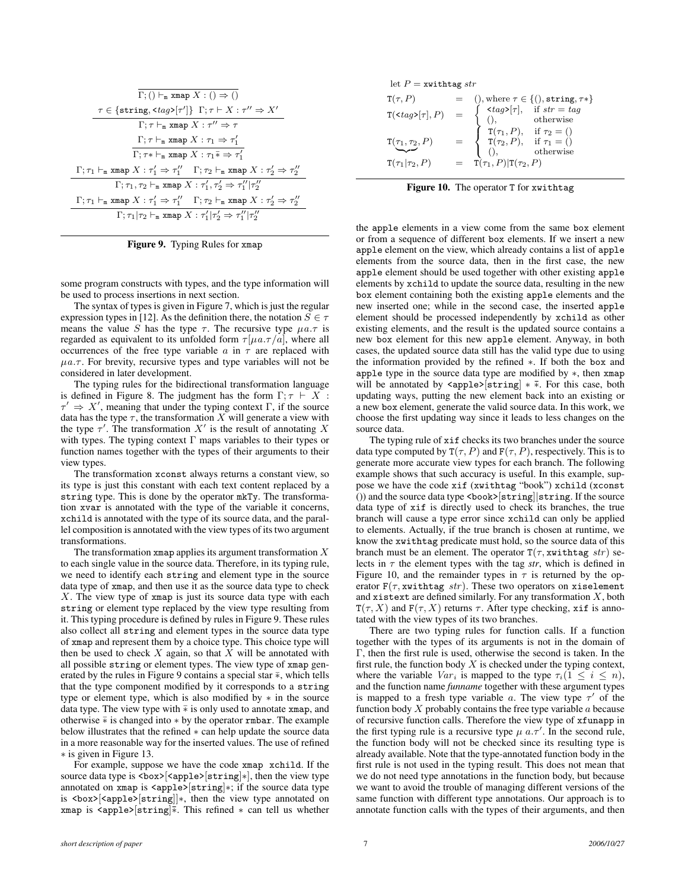$$
\begin{array}{c} \overline{\Gamma; () \vdash_{\mathtt{m}} \text{xmap } X : () \Rightarrow ()} \\ \underline{\tau \in \{\texttt{string}, \texttt{<} \texttt{tag} \texttt{>}[\tau']\} \Gamma; \tau \vdash X : \tau'' \Rightarrow X'} \\ \Gamma; \tau \vdash_{\mathtt{m}} \texttt{xmap } X : \tau'' \Rightarrow \tau \\ \Gamma; \tau \vdash_{\mathtt{m}} \texttt{xmap } X : \tau_1 \Rightarrow \tau_1' \\ \overline{\Gamma; \tau \vdash_{\mathtt{m}} \texttt{xmap } X : \tau_1 \bar{*} \Rightarrow \tau_1'} \\ \Gamma; \tau_1 \vdash_{\mathtt{m}} \texttt{xmap } X : \tau_1' \Rightarrow \tau_1'' \quad \Gamma; \tau_2 \vdash_{\mathtt{m}} \texttt{xmap } X : \tau_2' \Rightarrow \tau_2'' \\ \Gamma; \tau_1, \tau_2 \vdash_{\mathtt{m}} \texttt{xmap } X : \tau_1', \tau_2' \Rightarrow \tau_1'' | \tau_2'' \\ \Gamma; \tau_1 \vdash_{\mathtt{m}} \texttt{xmap } X : \tau_1' \Rightarrow \tau_1'' \quad \Gamma; \tau_2 \vdash_{\mathtt{m}} \texttt{xmap } X : \tau_2' \Rightarrow \tau_2'' \\ \Gamma; \tau_1 | \tau_2 \vdash_{\mathtt{m}} \texttt{xmap } X : \tau_1' | \tau_2' \Rightarrow \tau_1'' | \tau_2'' \end{array}
$$

Figure 9. Typing Rules for xmap

some program constructs with types, and the type information will be used to process insertions in next section.

The syntax of types is given in Figure 7, which is just the regular expression types in [12]. As the definition there, the notation  $S \in \tau$ means the value S has the type  $\tau$ . The recursive type  $\mu a.\tau$  is regarded as equivalent to its unfolded form  $\tau[\mu a.\tau/a]$ , where all occurrences of the free type variable  $a$  in  $\tau$  are replaced with  $\mu a.\tau$ . For brevity, recursive types and type variables will not be considered in later development.

The typing rules for the bidirectional transformation language is defined in Figure 8. The judgment has the form  $\Gamma; \tau \vdash X$ :  $\tau' \Rightarrow X'$ , meaning that under the typing context Γ, if the source data has the type  $\tau$ , the transformation X will generate a view with the type  $\tau'$ . The transformation  $X'$  is the result of annotating X with types. The typing context  $\Gamma$  maps variables to their types or function names together with the types of their arguments to their view types.

The transformation xconst always returns a constant view, so its type is just this constant with each text content replaced by a string type. This is done by the operator mkTy. The transformation xvar is annotated with the type of the variable it concerns, xchild is annotated with the type of its source data, and the parallel composition is annotated with the view types of its two argument transformations.

The transformation xmap applies its argument transformation  $X$ to each single value in the source data. Therefore, in its typing rule, we need to identify each string and element type in the source data type of xmap, and then use it as the source data type to check  $X$ . The view type of xmap is just its source data type with each string or element type replaced by the view type resulting from it. This typing procedure is defined by rules in Figure 9. These rules also collect all string and element types in the source data type of xmap and represent them by a choice type. This choice type will then be used to check  $X$  again, so that  $X$  will be annotated with all possible string or element types. The view type of xmap generated by the rules in Figure 9 contains a special star  $\bar{*}$ , which tells that the type component modified by it corresponds to a string type or element type, which is also modified by  $*$  in the source data type. The view type with  $\bar{*}$  is only used to annotate xmap, and otherwise  $\overline∗$  is changed into  $*$  by the operator rmbar. The example below illustrates that the refined ∗ can help update the source data in a more reasonable way for the inserted values. The use of refined ∗ is given in Figure 13.

For example, suppose we have the code xmap xchild. If the source data type is <br/> <br/> <br/>semple>[string]∗], then the view type annotated on xmap is <apple>[string]∗; if the source data type is <box>[<apple>[string]]∗, then the view type annotated on xmap is <apple>[string]¯∗. This refined ∗ can tell us whether

|  |  |  | let $P =$ xwithtag str |  |
|--|--|--|------------------------|--|
|--|--|--|------------------------|--|

| $T(\tau, P)$                                   |                                                                                                                                                                                                                                                                                                                                                                  |
|------------------------------------------------|------------------------------------------------------------------------------------------------------------------------------------------------------------------------------------------------------------------------------------------------------------------------------------------------------------------------------------------------------------------|
| $\texttt{T}(\texttt{<}tag\texttt{>}[\tau], P)$ |                                                                                                                                                                                                                                                                                                                                                                  |
| $\texttt T(\tau_1,\tau_2,P)$                   | (), where $\tau \in \{(), \text{string}, \tau *\}$<br>$\begin{cases}\n \langle tag \rangle[\tau], & \text{if } str = tag \\  \langle, & \text{otherwise}\n \end{cases}$<br>$= \begin{cases}\n \text{T}(\tau_1, P), & \text{if } \tau_2 = (\tau_2, P), \\  \text{T}(\tau_2, P), & \text{if } \tau_1 = (\tau_2, P), \\  \langle, & \text{otherwise}\n \end{cases}$ |
| $T(\tau_1 \tau_2, P)$                          | $= \mathbf{T}(\tau_1, P)   \mathbf{T}(\tau_2, P)$                                                                                                                                                                                                                                                                                                                |

Figure 10. The operator T for xwithtag

the apple elements in a view come from the same box element or from a sequence of different box elements. If we insert a new apple element on the view, which already contains a list of apple elements from the source data, then in the first case, the new apple element should be used together with other existing apple elements by xchild to update the source data, resulting in the new box element containing both the existing apple elements and the new inserted one; while in the second case, the inserted apple element should be processed independently by xchild as other existing elements, and the result is the updated source contains a new box element for this new apple element. Anyway, in both cases, the updated source data still has the valid type due to using the information provided by the refined ∗. If both the box and apple type in the source data type are modified by ∗, then xmap will be annotated by  $\langle \text{apple} \rangle [\text{string}] \times \overline{*}$ . For this case, both updating ways, putting the new element back into an existing or a new box element, generate the valid source data. In this work, we choose the first updating way since it leads to less changes on the source data.

The typing rule of xif checks its two branches under the source data type computed by  $T(\tau, P)$  and  $F(\tau, P)$ , respectively. This is to generate more accurate view types for each branch. The following example shows that such accuracy is useful. In this example, suppose we have the code xif (xwithtag "book") xchild (xconst ()) and the source data type <book>[string]|string. If the source data type of xif is directly used to check its branches, the true branch will cause a type error since xchild can only be applied to elements. Actually, if the true branch is chosen at runtime, we know the xwithtag predicate must hold, so the source data of this branch must be an element. The operator  $T(\tau, x$ withtag str) selects in  $\tau$  the element types with the tag *str*, which is defined in Figure 10, and the remainder types in  $\tau$  is returned by the operator  $F(\tau, x$ withtag str). These two operators on xiselement and xistext are defined similarly. For any transformation  $X$ , both  $T(\tau, X)$  and  $F(\tau, X)$  returns  $\tau$ . After type checking, xif is annotated with the view types of its two branches.

There are two typing rules for function calls. If a function together with the types of its arguments is not in the domain of Γ, then the first rule is used, otherwise the second is taken. In the first rule, the function body  $X$  is checked under the typing context, where the variable  $Var_i$  is mapped to the type  $\tau_i(1 \leq i \leq n)$ , and the function name *funname* together with these argument types is mapped to a fresh type variable a. The view type  $\tau'$  of the function body  $X$  probably contains the free type variable  $a$  because of recursive function calls. Therefore the view type of xfunapp in the first typing rule is a recursive type  $\mu$  a.  $\tau'$ . In the second rule, the function body will not be checked since its resulting type is already available. Note that the type-annotated function body in the first rule is not used in the typing result. This does not mean that we do not need type annotations in the function body, but because we want to avoid the trouble of managing different versions of the same function with different type annotations. Our approach is to annotate function calls with the types of their arguments, and then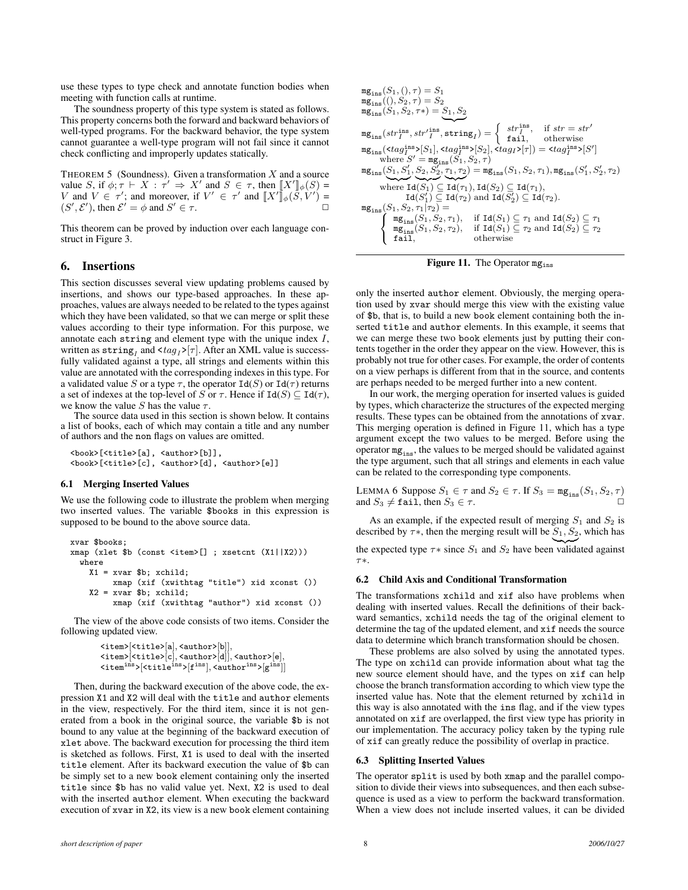use these types to type check and annotate function bodies when meeting with function calls at runtime.

The soundness property of this type system is stated as follows. This property concerns both the forward and backward behaviors of well-typed programs. For the backward behavior, the type system cannot guarantee a well-type program will not fail since it cannot check conflicting and improperly updates statically.

THEOREM 5 (Soundness). Given a transformation  $X$  and a source value S, if  $\phi$ ;  $\tau \vdash X : \tau' \Rightarrow X'$  and  $S \in \tau$ , then  $\llbracket X' \rrbracket_{\phi}(S) =$ V and  $V \in \tau'$ ; and moreover, if  $V' \in \tau'$  and  $\llbracket X' \rrbracket_{\phi}(\tilde{S}, V') =$  $(S', \mathcal{E}')$ , then  $\mathcal{E}' = \phi$  and  $S' \in \tau$ .

This theorem can be proved by induction over each language construct in Figure 3.

## 6. Insertions

This section discusses several view updating problems caused by insertions, and shows our type-based approaches. In these approaches, values are always needed to be related to the types against which they have been validated, so that we can merge or split these values according to their type information. For this purpose, we annotate each string and element type with the unique index I, written as  $\texttt{string}_I$  and  $\texttt{<}$   $\texttt{tag}_I$  >[ $\tau$ ]. After an XML value is successfully validated against a type, all strings and elements within this value are annotated with the corresponding indexes in this type. For a validated value  $S$  or a type  $\tau,$  the operator  $\mathtt{Id}(S)$  or  $\mathtt{Id}(\tau)$  returns a set of indexes at the top-level of S or  $\tau$ . Hence if  $Id(S) \subseteq Id(\tau)$ , we know the value S has the value  $\tau$ .

The source data used in this section is shown below. It contains a list of books, each of which may contain a title and any number of authors and the non flags on values are omitted.

<book>[<title>[a], <author>[b]], <book>[<title>[c], <author>[d], <author>[e]]

#### 6.1 Merging Inserted Values

We use the following code to illustrate the problem when merging two inserted values. The variable \$books in this expression is supposed to be bound to the above source data.

```
xvar $books;
xmap (xlet $b (const <item>[] ; xsetcnt (X1||X2)))
 where
    X1 = xvar$b; xchild;xmap (xif (xwithtag "title") xid xconst ())
    X2 = xvar $b; xchild;
         xmap (xif (xwithtag "author") xid xconst ())
```
The view of the above code consists of two items. Consider the following updated view.

```
<item>[<title>[a], <author>[b]],
\verb|<item>[title][c], \verb|<author>[d]], \verb|<author>[e],\langleitem^{\rm ins}>[\langletitle^{\rm ins}>[f^{\rm ins}],\langleauthor^{\rm ins}>[g^{\rm ins}]]
```
Then, during the backward execution of the above code, the expression X1 and X2 will deal with the title and author elements in the view, respectively. For the third item, since it is not generated from a book in the original source, the variable \$b is not bound to any value at the beginning of the backward execution of xlet above. The backward execution for processing the third item is sketched as follows. First, X1 is used to deal with the inserted title element. After its backward execution the value of \$b can be simply set to a new book element containing only the inserted title since \$b has no valid value yet. Next, X2 is used to deal with the inserted author element. When executing the backward execution of xvar in X2, its view is a new book element containing

$$
\begin{array}{l} \mathbf{m} \mathbf{g}_{\mathrm{ins}}(S_1,(),\tau)=S_1\\ \mathbf{m} \mathbf{g}_{\mathrm{ins}}((),S_2,\tau)=S_2\\ \mathbf{m} \mathbf{g}_{\mathrm{ins}}(S_1,S_2,\tau*)=S_1,S_2\\ \mathbf{m} \mathbf{g}_{\mathrm{ins}}(s tr_1^{\mathrm{ins}},s tr'\, \mathbf{h}^{\mathrm{ns}},\, \mathrm{string}_I)=\left\{ \begin{array}{ll} st r_1^{\mathrm{ins}}, & \text{if } str = str'\\ \mathrm{fail}, & \text{otherwise}\\ \mathrm{mg}_{\mathrm{ins}}(\mathrm{stag}_I^{\mathrm{ins}})[S_1], \mathrm{stag}_I^{\mathrm{ins}}[S_2], \mathrm{stag}_I^{\mathrm{yr}}[T])=\mathrm{stag}_I^{\mathrm{ins}}[S']\\ \mathrm{where } S'=\mathbf{m} \mathbf{g}_{\mathrm{ins}}(S_1,S_2,\tau)\\ \mathbf{m} \mathbf{g}_{\mathrm{ins}}(S_1,S_1',S_2,S_2',\tau_1,\tau_2)=\mathbf{m} \mathbf{g}_{\mathrm{ins}}(S_1,S_2,\tau_1), \mathbf{m} \mathbf{g}_{\mathrm{ins}}(S_1',S_2',\tau_2)\\ \mathrm{where } \mathrm{Id}(S_1)\subseteq \mathrm{Id}(\tau_1), \mathrm{Id}(S_2)\subseteq \mathrm{Id}(\tau_1),\\ \mathrm{Id}(S_1')\subseteq \mathrm{Id}(\tau_2) \text{ and } \mathrm{Id}(S_2')\subseteq \mathrm{Id}(\tau_2).\\ \mathbf{m} \mathbf{g}_{\mathrm{ins}}(S_1,S_2,\tau_1)\tau_2)=\left\{ \begin{array}{ll} \mathbf{m} \mathbf{g}_{\mathrm{ins}}(S_1,S_2,\tau_1), & \text{if } \mathrm{Id}(S_1)\subseteq \tau_1 \text{ and } \mathrm{Id}(S_2)\subseteq \tau_1\\ \mathbf{m} \mathbf{g}_{\mathrm{ins}}(S_1,S_2,\tau_2), & \text{if } \mathrm{Id}(S_1)\subseteq \tau_2 \text{ and } \mathrm{Id}(S_2)\subseteq \tau_2\\ \mathrm{fail}, & \text{otherwise}\end{array}\right.\\ \end{array}
$$

**Figure 11.** The Operator  $mg_{ins}$ 

only the inserted author element. Obviously, the merging operation used by xvar should merge this view with the existing value of \$b, that is, to build a new book element containing both the inserted title and author elements. In this example, it seems that we can merge these two book elements just by putting their contents together in the order they appear on the view. However, this is probably not true for other cases. For example, the order of contents on a view perhaps is different from that in the source, and contents are perhaps needed to be merged further into a new content.

In our work, the merging operation for inserted values is guided by types, which characterize the structures of the expected merging results. These types can be obtained from the annotations of xvar. This merging operation is defined in Figure 11, which has a type argument except the two values to be merged. Before using the operator  $mg_{ins}$ , the values to be merged should be validated against the type argument, such that all strings and elements in each value can be related to the corresponding type components.

LEMMA 6 Suppose  $S_1 \in \tau$  and  $S_2 \in \tau$ . If  $S_3 = \text{mg}_{ins}(S_1, S_2, \tau)$ and  $S_3 \neq \texttt{fail}$ , then  $S_3 \in \tau$ .

As an example, if the expected result of merging  $S_1$  and  $S_2$  is described by  $\tau$ \*, then the merging result will be  $S_1, S_2$ , which has the expected type  $\tau$ \* since  $S_1$  and  $S_2$  have been validated against τ∗.

#### 6.2 Child Axis and Conditional Transformation

The transformations xchild and xif also have problems when dealing with inserted values. Recall the definitions of their backward semantics, xchild needs the tag of the original element to determine the tag of the updated element, and xif needs the source data to determine which branch transformation should be chosen.

These problems are also solved by using the annotated types. The type on xchild can provide information about what tag the new source element should have, and the types on xif can help choose the branch transformation according to which view type the inserted value has. Note that the element returned by xchild in this way is also annotated with the ins flag, and if the view types annotated on xif are overlapped, the first view type has priority in our implementation. The accuracy policy taken by the typing rule of xif can greatly reduce the possibility of overlap in practice.

#### 6.3 Splitting Inserted Values

The operator split is used by both xmap and the parallel composition to divide their views into subsequences, and then each subsequence is used as a view to perform the backward transformation. When a view does not include inserted values, it can be divided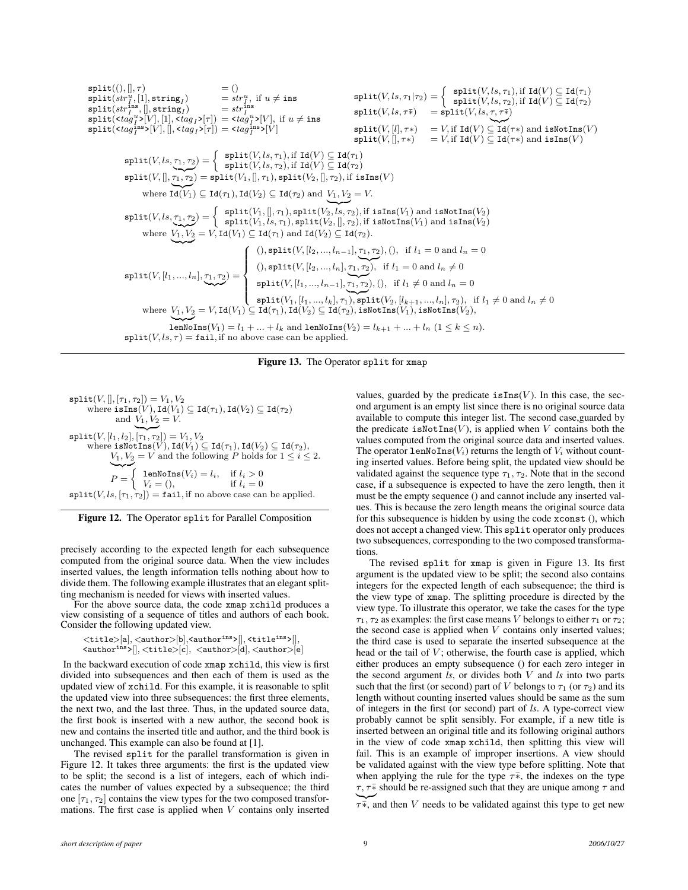$$
\begin{array}{ll} \text{split}([),[] , \tau) & = () & \text{split}([s,\tau], \tau) = (0, \tau) \\ \text{split}([s,\tau],[] , \text{string}_I) & = st\tau_I^u, \text{ if } u \neq \text{ins} \\ \text{split}([s,\tau],[] , \text{string}_I) & = st\tau_I^{\text{ins}} \\ \text{split}([s,\tau],[] , \text{string}_I) & = st\tau_I^{\text{ins}} \\ \text{split}([s,\tau],[] , (1, \tau) = (1, \tau) \text{ if } u \neq \text{ins} \\ \text{split}([s,\tau],\tau) = (1, \tau) \text{ if } u \neq \text{ins} \\ \text{split}([s,\tau],\tau) = (1, \tau) \text{ if } u \neq \text{ins} \\ \text{split}([s,\tau],\tau) = (1, \tau) \text{ if } u \neq \text{ins} \\ \text{split}([s,\tau],\tau) = (1, \tau) \text{ if } u \neq \text{ins} \\ \text{split}([s,\tau],\tau) = (1, \tau) \text{ if } u \neq \text{ins} \\ \text{split}([s,\tau],\tau) = (1, \tau) \text{ if } u \neq \text{ins} \\ \text{split}([s,\tau],\tau) = (1, \tau) \text{ if } u \neq \text{ins} \\ \text{split}([s,\tau],\tau) = (1, \tau) \text{ if } u \neq \text{ins} \\ \text{split}([s,\tau],\tau) = (1, \tau) \text{ if } u \neq \text{ins} \\ \text{split}([s,\tau],\tau) = (1, \tau) \text{ if } u \neq \text{ins} \\ \text{split}([s,\tau],\tau) = (1, \tau) \text{ if } u \neq \text{ins} \\ \text{split}([s,\tau],\tau) = (1, \tau) \text{ if } u \neq \text{ins} \\ \text{split}([s,\tau],\tau) = (1, \tau) \text{ if } u \neq \text{ins} \\ \text{split}([s,\tau],\tau) = (1, \tau) \text{ if } u \neq \text{ins} \\ \text{split}([s,\tau],\tau) = (1, \tau) \text{ if } u \neq \text{ins} \\ \text{split}([s,\tau],\tau) = (1, \tau) \text{ if } u \neq \text{ins} \\ \text{split}([s,\tau
$$

Figure 13. The Operator split for xmap

 $split(V,[], [\tau_1, \tau_2]) = V_1, V_2$ where  $\texttt{isIns}(V)$ ,  $\texttt{Id}(V_1) \subseteq \texttt{Id}(\tau_1)$ ,  $\texttt{Id}(V_2) \subseteq \texttt{Id}(\tau_2)$ and  $V_1, V_2 = V$ .  $\texttt{split}(V,[l_1,l_2],[\overline{\tau_1},\overline{\tau_2}])=V_1,V_2$ where isNotIns $(V)$ , Id $(V_1) \subseteq Id(\tau_1)$ , Id $(V_2) \subseteq Id(\tau_2)$ ,  $V_1, V_2 = V$  and the following P holds for  $1 \leq i \leq 2$ .  $\sim$  $P =$  $\sqrt{ }$ lenNoIns $(V_i) = l_i$ , if  $l_i > 0$ <br> $V_i = ()$ , if  $l_i = 0$  $\{V_i = (),$  $split(V, ls, [\tau_1, \tau_2]) = fail, \text{if no above case can be applied.}$ 



precisely according to the expected length for each subsequence computed from the original source data. When the view includes inserted values, the length information tells nothing about how to divide them. The following example illustrates that an elegant splitting mechanism is needed for views with inserted values.

For the above source data, the code xmap xchild produces a view consisting of a sequence of titles and authors of each book. Consider the following updated view.

 $<$ title $>$ [a], $<$ author $>$ [b], $<$ author<sup>ins</sup> $>$ [], $<$ title<sup>ins</sup> $>$ []  $\langle \text{author}^{\text{ins}} \rangle$  |  $\langle \text{title} \rangle$  |c|,  $\langle \text{author} \rangle$  |d|,  $\langle \text{author} \rangle$  |e|

In the backward execution of code xmap xchild, this view is first divided into subsequences and then each of them is used as the updated view of xchild. For this example, it is reasonable to split the updated view into three subsequences: the first three elements, the next two, and the last three. Thus, in the updated source data, the first book is inserted with a new author, the second book is new and contains the inserted title and author, and the third book is unchanged. This example can also be found at [1].

The revised split for the parallel transformation is given in Figure 12. It takes three arguments: the first is the updated view to be split; the second is a list of integers, each of which indicates the number of values expected by a subsequence; the third one  $[\tau_1, \tau_2]$  contains the view types for the two composed transformations. The first case is applied when  $V$  contains only inserted

values, guarded by the predicate  $i$ sIns( $V$ ). In this case, the second argument is an empty list since there is no original source data available to compute this integer list. The second case,guarded by the predicate is Not Ins(V), is applied when V contains both the values computed from the original source data and inserted values. The operator lenNoIns( $V_i$ ) returns the length of  $V_i$  without counting inserted values. Before being split, the updated view should be validated against the sequence type  $\tau_1$ ,  $\tau_2$ . Note that in the second case, if a subsequence is expected to have the zero length, then it must be the empty sequence () and cannot include any inserted values. This is because the zero length means the original source data for this subsequence is hidden by using the code xconst (), which does not accept a changed view. This split operator only produces two subsequences, corresponding to the two composed transformations.

The revised split for xmap is given in Figure 13. Its first argument is the updated view to be split; the second also contains integers for the expected length of each subsequence; the third is the view type of xmap. The splitting procedure is directed by the view type. To illustrate this operator, we take the cases for the type  $\tau_1$ ,  $\tau_2$  as examples: the first case means V belongs to either  $\tau_1$  or  $\tau_2$ ; the second case is applied when  $V$  contains only inserted values; the third case is used to separate the inserted subsequence at the head or the tail of  $V$ ; otherwise, the fourth case is applied, which either produces an empty subsequence () for each zero integer in the second argument *ls*, or divides both V and *ls* into two parts such that the first (or second) part of V belongs to  $\tau_1$  (or  $\tau_2$ ) and its length without counting inserted values should be same as the sum of integers in the first (or second) part of *ls*. A type-correct view probably cannot be split sensibly. For example, if a new title is inserted between an original title and its following original authors in the view of code xmap xchild, then splitting this view will fail. This is an example of improper insertions. A view should be validated against with the view type before splitting. Note that when applying the rule for the type  $\tau\bar{*}$ , the indexes on the type  $\tau$ ,  $\tau$ <sup>\*</sup>∗ should be re-assigned such that they are unique among  $\tau$  and

 $\widetilde{\tau^*}$ , and then V needs to be validated against this type to get new